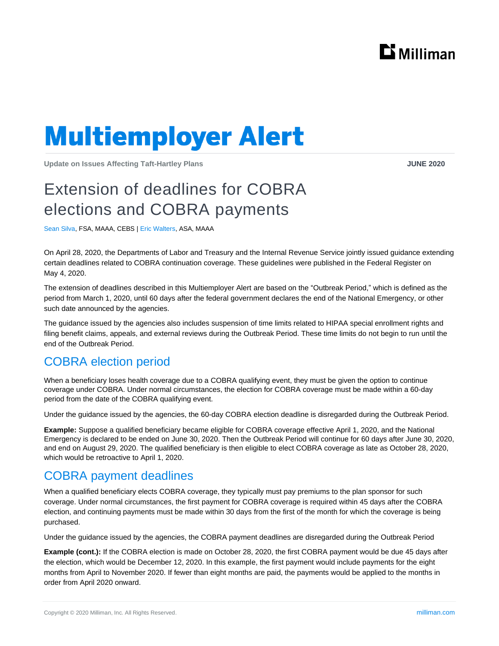

# **Multiemployer Alert**

**Update on Issues Affecting Taft-Hartley Plans JUNE 2020**

# Extension of deadlines for COBRA elections and COBRA payments

Sean Silva, FSA, MAAA, CEBS | Eric Walters, ASA, MAAA

On April 28, 2020, the Departments of Labor and Treasury and the Internal Revenue Service jointly issued guidance extending certain deadlines related to COBRA continuation coverage. These guidelines were published in the Federal Register on May 4, 2020.

The extension of deadlines described in this Multiemployer Alert are based on the "Outbreak Period," which is defined as the period from March 1, 2020, until 60 days after the federal government declares the end of the National Emergency, or other such date announced by the agencies.

The guidance issued by the agencies also includes suspension of time limits related to HIPAA special enrollment rights and filing benefit claims, appeals, and external reviews during the Outbreak Period. These time limits do not begin to run until the end of the Outbreak Period.

### COBRA election period

When a beneficiary loses health coverage due to a COBRA qualifying event, they must be given the option to continue coverage under COBRA. Under normal circumstances, the election for COBRA coverage must be made within a 60-day period from the date of the COBRA qualifying event.

Under the guidance issued by the agencies, the 60-day COBRA election deadline is disregarded during the Outbreak Period.

**Example:** Suppose a qualified beneficiary became eligible for COBRA coverage effective April 1, 2020, and the National Emergency is declared to be ended on June 30, 2020. Then the Outbreak Period will continue for 60 days after June 30, 2020, and end on August 29, 2020. The qualified beneficiary is then eligible to elect COBRA coverage as late as October 28, 2020, which would be retroactive to April 1, 2020.

## COBRA payment deadlines

When a qualified beneficiary elects COBRA coverage, they typically must pay premiums to the plan sponsor for such coverage. Under normal circumstances, the first payment for COBRA coverage is required within 45 days after the COBRA election, and continuing payments must be made within 30 days from the first of the month for which the coverage is being purchased.

Under the guidance issued by the agencies, the COBRA payment deadlines are disregarded during the Outbreak Period

**Example (cont.):** If the COBRA election is made on October 28, 2020, the first COBRA payment would be due 45 days after the election, which would be December 12, 2020. In this example, the first payment would include payments for the eight months from April to November 2020. If fewer than eight months are paid, the payments would be applied to the months in order from April 2020 onward.